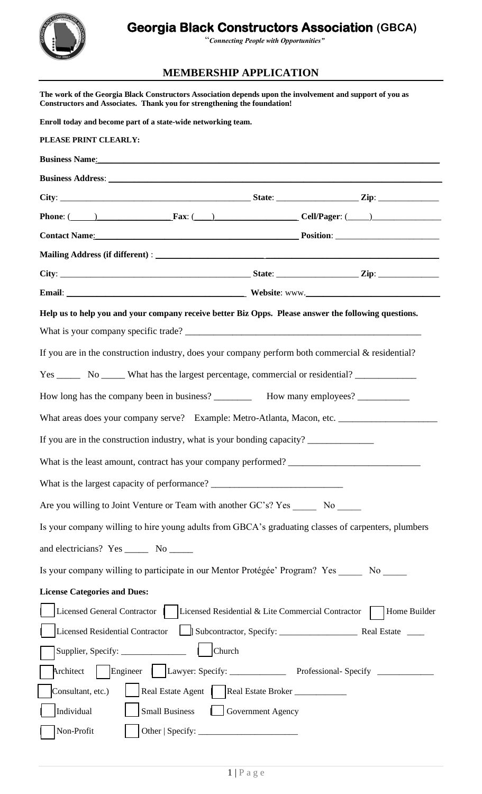## **Georgia Black Constructors Association (GBCA)**



"*Connecting People with Opportunities"*

## **MEMBERSHIP APPLICATION**

| The work of the Georgia Black Constructors Association depends upon the involvement and support of you as<br>Constructors and Associates. Thank you for strengthening the foundation!                                                                                            |                   |  |              |
|----------------------------------------------------------------------------------------------------------------------------------------------------------------------------------------------------------------------------------------------------------------------------------|-------------------|--|--------------|
| Enroll today and become part of a state-wide networking team.                                                                                                                                                                                                                    |                   |  |              |
| PLEASE PRINT CLEARLY:                                                                                                                                                                                                                                                            |                   |  |              |
| <b>Business Name</b> : <u>Contained and the set of the set of the set of the set of the set of the set of the set of the set of the set of the set of the set of the set of the set of the set of the set of the set of the set of the</u>                                       |                   |  |              |
|                                                                                                                                                                                                                                                                                  |                   |  |              |
|                                                                                                                                                                                                                                                                                  |                   |  |              |
| Phone: $\frac{1}{2}$ Phone: $\frac{1}{2}$ Phone: $\frac{1}{2}$ Phone: $\frac{1}{2}$ Phone: $\frac{1}{2}$ Phone: $\frac{1}{2}$ Phone: $\frac{1}{2}$ Phone: $\frac{1}{2}$ Phone: $\frac{1}{2}$ Phone: $\frac{1}{2}$ Phone: $\frac{1}{2}$ Phone: $\frac{1}{2}$ Phone: $\frac{1}{2}$ |                   |  |              |
|                                                                                                                                                                                                                                                                                  |                   |  |              |
|                                                                                                                                                                                                                                                                                  |                   |  |              |
|                                                                                                                                                                                                                                                                                  |                   |  |              |
|                                                                                                                                                                                                                                                                                  |                   |  |              |
| Help us to help you and your company receive better Biz Opps. Please answer the following questions.                                                                                                                                                                             |                   |  |              |
|                                                                                                                                                                                                                                                                                  |                   |  |              |
| If you are in the construction industry, does your company perform both commercial & residential?                                                                                                                                                                                |                   |  |              |
|                                                                                                                                                                                                                                                                                  |                   |  |              |
| How long has the company been in business? _____________ How many employees? ___________                                                                                                                                                                                         |                   |  |              |
| What areas does your company serve? Example: Metro-Atlanta, Macon, etc.                                                                                                                                                                                                          |                   |  |              |
| If you are in the construction industry, what is your bonding capacity?                                                                                                                                                                                                          |                   |  |              |
|                                                                                                                                                                                                                                                                                  |                   |  |              |
| What is the largest capacity of performance? ___________________________________                                                                                                                                                                                                 |                   |  |              |
| Are you willing to Joint Venture or Team with another GC's? Yes _______ No ______                                                                                                                                                                                                |                   |  |              |
| Is your company willing to hire young adults from GBCA's graduating classes of carpenters, plumbers                                                                                                                                                                              |                   |  |              |
| and electricians? Yes ________ No _______                                                                                                                                                                                                                                        |                   |  |              |
| Is your company willing to participate in our Mentor Protégée' Program? Yes No                                                                                                                                                                                                   |                   |  |              |
| <b>License Categories and Dues:</b>                                                                                                                                                                                                                                              |                   |  |              |
| Licensed General Contractor     Licensed Residential & Lite Commercial Contractor                                                                                                                                                                                                |                   |  | Home Builder |
| <b>Licensed Residential Contractor</b>                                                                                                                                                                                                                                           |                   |  |              |
| $ $ Church                                                                                                                                                                                                                                                                       |                   |  |              |
| Engineer   Lawyer: Specify: Professional-Specify ________________________________<br>Architect                                                                                                                                                                                   |                   |  |              |
| Consultant, etc.)                                                                                                                                                                                                                                                                |                   |  |              |
| Individual<br><b>Small Business</b>                                                                                                                                                                                                                                              | Government Agency |  |              |
| Non-Profit                                                                                                                                                                                                                                                                       |                   |  |              |